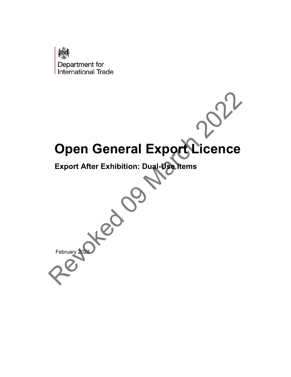

# Open General Export Licence

**Export After Exhibition: Dual-Use Items**

February 2022 Open General Export Licence<br>Export After Exhibition: Dual Vachtems<br>
CONCERNATION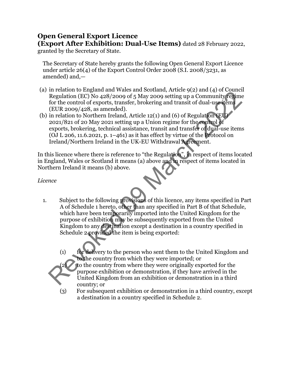# **Open General Export Licence (Export After Exhibition: Dual-Use Items)** dated 28 February 2022,

granted by the Secretary of State.

The Secretary of State hereby grants the following Open General Export Licence under article 26(4) of the Export Control Order 2008 (S.I. 2008/3231, as amended) and,—

- (a) in relation to England and Wales and Scotland, Article 9(2) and (4) of Council Regulation (EC) No 428/2009 of 5 May 2009 setting up a Community regime for the control of exports, transfer, brokering and transit of dual-use items (EUR 2009/428, as amended).
- (b) in relation to Northern Ireland, Article 12(1) and (6) of Regulation (EU) 2021/821 of 20 May 2021 setting up a Union regime for the control of exports, brokering, technical assistance, transit and transfer of dual-use items (OJ L 206, 11.6.2021, p.  $1-461$ ) as it has effect by virtue of the Protocol on Ireland/Northern Ireland in the UK-EU Withdrawal Agreement.

In this licence where there is reference to "the Regulation", in respect of items located in England, Wales or Scotland it means (a) above and in respect of items located in Northern Ireland it means (b) above.

*Licence*

- 1. Subject to the following provisions of this licence, any items specified in Part A of Schedule 1 hereto, other than any specified in Part B of that Schedule, which have been temporarily imported into the United Kingdom for the purpose of exhibition may be subsequently exported from the United Kingdom to any destination except a destination in a country specified in Schedule 2 provided the item is being exported: Frequitation (EC) No 428/2009 of 5 May 2009 setting up a Community feelime<br>
Regulation (EC) No 428/2009 of 5 May 2009 setting up a Community feelime<br>
(EUR 2009/428, as amended).<br>
in relation to Northern Ireland, Article 1
	- (1) for delivery to the person who sent them to the United Kingdom and to the country from which they were imported; or



- (2) to the country from where they were originally exported for the purpose exhibition or demonstration, if they have arrived in the United Kingdom from an exhibition or demonstration in a third country; or
- (3) For subsequent exhibition or demonstration in a third country, except a destination in a country specified in Schedule 2.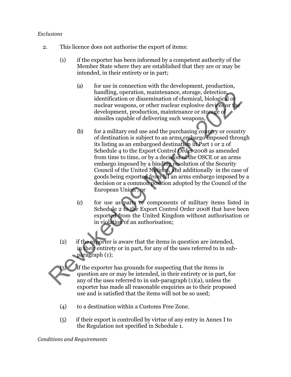## *Exclusions*

- 2. This licence does not authorise the export of items:
	- (1) if the exporter has been informed by a competent authority of the Member State where they are established that they are or may be intended, in their entirety or in part;
		- (a) for use in connection with the development, production, handling, operation, maintenance, storage, detection, identification or dissemination of chemical, biological or nuclear weapons, or other nuclear explosive devices or the development, production, maintenance or storage of missiles capable of delivering such weapons,
	- (b) for a military end use and the purchasing country or country of destination is subject to an arms embargo imposed through its listing as an embargoed destination in Part 1 or 2 of Schedule 4 to the Export Control Order 2008 as amended from time to time, or by a decision of the OSCE or an arms embargo imposed by a binding resolution of the Security Council of the United Nations, and additionally in the case of goods being exported from NI an arms embargo imposed by a decision or a common position adopted by the Council of the European Union', or Funding, operation, maintenance, storage, detection<br>identification or dissemination of chemical, biological or<br>nuclear weapons, or other nuclear explosive devices or the<br>development, production, maintenance or storage of<br>
		- (c) for use as parts or components of military items listed in Schedule 2 to the Export Control Order 2008 that have been exported from the United Kingdom without authorisation or in violation of an authorisation;
		- (2) if the exporter is aware that the items in question are intended, in their entirety or in part, for any of the uses referred to in subparagraph (1);

if the exporter has grounds for suspecting that the items in question are or may be intended, in their entirety or in part, for any of the uses referred to in sub-paragraph (1)(a), unless the exporter has made all reasonable enquiries as to their proposed use and is satisfied that the items will not be so used;

- (4) to a destination within a Customs Free Zone.
- (5) if their export is controlled by virtue of any entry in Annex I to the Regulation not specified in Schedule 1.

*Conditions and Requirements*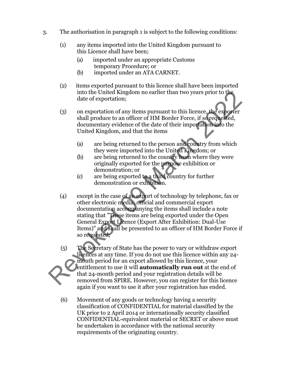- 3. The authorisation in paragraph 1 is subject to the following conditions:
	- (1) any items imported into the United Kingdom pursuant to this Licence shall have been;
		- (a) imported under an appropriate Customs temporary Procedure; or
		- (b) imported under an ATA CARNET.
	- (2) items exported pursuant to this licence shall have been imported into the United Kingdom no earlier than two years prior to the date of exportation;
	- (3) on exportation of any items pursuant to this licence, the exporter shall produce to an officer of HM Border Force, if so requested, documentary evidence of the date of their importation into the United Kingdom, and that the items
		- (a) are being returned to the person and country from which they were imported into the United Kingdom; or
		- (b) are being returned to the country from where they were originally exported for the purpose exhibition or demonstration; or
		- (c) are being exported to a third country for further demonstration or exhibition.
	- (4) except in the case of an export of technology by telephone, fax or other electronic media, official and commercial export documentation accompanying the items shall include a note stating that "These items are being exported under the Open General Export Licence (Export After Exhibition: Dual-Use Items)" and shall be presented to an officer of HM Border Force if so requested; into the United Kingdom no earlier than two years prior to the<br>date of exportation;<br>
	(3) on exportation of any items pursuant to this licence, the exporter<br>
	shall produce to an officer of HM Border Force, if so received<br>
		- (5) The Secretary of State has the power to vary or withdraw export licences at any time. If you do not use this licence within any 24 month period for an export allowed by this licence, your entitlement to use it will **automatically run out** at the end of that 24-month period and your registration details will be removed from SPIRE. However, you can register for this licence again if you want to use it after your registration has ended.
		- (6) Movement of any goods or technology having a security classification of CONFIDENTIAL for material classified by the UK prior to 2 April 2014 or internationally security classified CONFIDENTIAL-equivalent material or SECRET or above must be undertaken in accordance with the national security requirements of the originating country.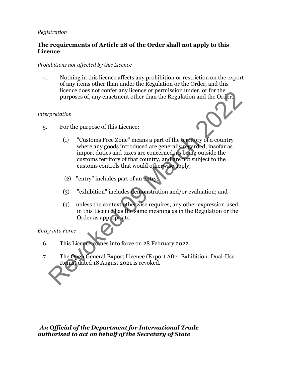# *Registration*

# **The requirements of Article 28 of the Order shall not apply to this Licence**

# *Prohibitions not affected by this Licence*

4. Nothing in this licence affects any prohibition or restriction on the export of any items other than under the Regulation or the Order, and this licence does not confer any licence or permission under, or for the purposes of, any enactment other than the Regulation and the Order.

# *Interpretation*

5. For the purpose of this Licence:



- (1) "Customs Free Zone" means a part of the territory of a country where any goods introduced are generally regarded, insofar as import duties and taxes are concerned, as being outside the customs territory of that country, and are not subject to the customs controls that would otherwise apply; The Speech Ceneral Export Licence (Export After Exhibition: Dual-Use<br>
The Open State of a Sugar State of the service of the context<br>
(1) "Customs Free Zone" means a part of the territory of a country<br>
where any goods intro
	- (2) "entry" includes part of an entry,
	- (3) "exhibition" includes demonstration and/or evaluation; and
	- (4) unless the context otherwise requires, any other expression used in this Licence has the same meaning as in the Regulation or the Order as appropriate.

# *Entry into Force*

- 6. This Licence comes into force on 28 February 2022.
- 7. The Open General Export Licence (Export After Exhibition: Dual-Use Items) dated 18 August 2021 is revoked.

*An Official of the Department for International Trade authorised to act on behalf of the Secretary of State*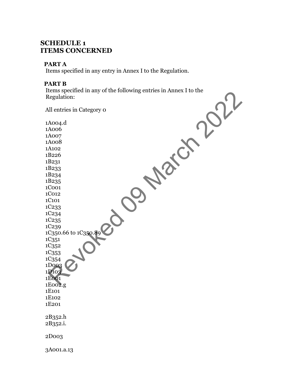# **SCHEDULE 1 ITEMS CONCERNED**

# **PART A**

Items specified in any entry in Annex I to the Regulation.

# **PART B**

Items specified in any of the following entries in Annex I to the Regulation:

All entries in Category 0 1A004.d 1A006 1A007 1A008 1A102 1B226 1B231 1B233 1B234 1B235 1C001 1C012 1C101 1C233 1C234 1C235 1C239 1C350.66 to 1C350.89 1C351 1C352 1C353 1C354 1D003 1D103 1E001 1E002.g 1E101 1E102 1E201 2B352.h 2B352.i. 2D003 3A001.a.13 Elegislation:<br>
Meglulation:<br>
Ill entries in Category o<br>
Alood<br>Acoo<sup>7</sup><br>Acoo<sup>7</sup><br>Acoo<sup>8</sup><br>Baca<sub>33</sub><br>Baca<sub>33</sub><br>Color<br>Color<br>Color<br>Color<br>Color<br>Color<br>Color<br>Color<br>Color<br>Color<br>Color<br>Color<br>Color<br>Color<br>Color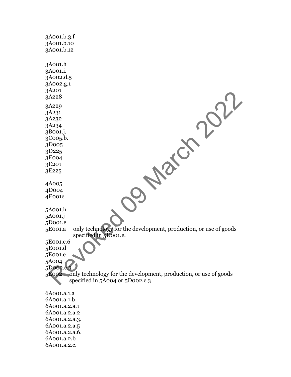| 3A001.b.3.f<br>3A001.b.10<br>3A001.b.12                                        |
|--------------------------------------------------------------------------------|
| 3A001.h<br>3A001.i.<br>3A002.d.5<br>3A002.g.1<br>3A201<br>3A228                |
| 3A229<br>3A231<br>3A232<br>3A234<br>3B001.j.<br>3Coo <sub>5</sub> .b.<br>3D005 |
| 3D225                                                                          |
| 3E004                                                                          |
| 3E201                                                                          |
| 3E225                                                                          |
| 4A005                                                                          |
| 4D004                                                                          |
| 4E001c                                                                         |
| 5A001.h                                                                        |
| 5A001.j                                                                        |
| 5D001.e                                                                        |
| only technology for the development, production, or use of goods<br>5E001.a    |
| specified in 5D001.e.                                                          |
| 5E001.c.6<br>5E001.d                                                           |
| 5E001.e                                                                        |
| 5A004                                                                          |
| 5D002.c.                                                                       |
| 5E002 only technology for the development, production, or use of goods         |
| specified in 5A004 or 5D002.c.3                                                |
| 6A001.a.1.a                                                                    |
| 6A001.a.1.b                                                                    |
| 6A001.a.2.a.1                                                                  |
| 6A001.a.2.a.2                                                                  |
| 6A001.a.2.a.3.                                                                 |
| 6A001.a.2.a.5                                                                  |
| 6A001.a.2.a.6.                                                                 |
| 6A001.a.2.b                                                                    |
| 6A001.a.2.c.                                                                   |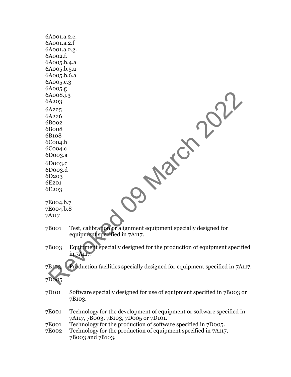| 6A001.a.2.e.         |                                                                                                              |
|----------------------|--------------------------------------------------------------------------------------------------------------|
| 6A001.a.2.f          |                                                                                                              |
| 6A001.a.2.g.         |                                                                                                              |
| 6A002.f.             |                                                                                                              |
| 6A005.b.4.a          |                                                                                                              |
| 6A005.b.5.a          |                                                                                                              |
| 6A005.b.6.a          |                                                                                                              |
| 6A005.e.3            |                                                                                                              |
| 6A005.g              |                                                                                                              |
| 6A008.j.3            |                                                                                                              |
| 6A203                |                                                                                                              |
| 6A225                |                                                                                                              |
| 6A226                |                                                                                                              |
| 6B002<br>6B008       |                                                                                                              |
| 6B108                |                                                                                                              |
| $6$ Coo $4.b$        |                                                                                                              |
| 6Coo <sub>4</sub> .c |                                                                                                              |
| 6Doo3.a              |                                                                                                              |
| $6$ Doo $3.c$        |                                                                                                              |
| 6Doo3.d              |                                                                                                              |
| 6D <sub>20</sub> 3   |                                                                                                              |
| 6E <sub>201</sub>    |                                                                                                              |
| 6E <sub>20</sub> 3   |                                                                                                              |
|                      |                                                                                                              |
| 7E004.b.7            |                                                                                                              |
| 7E004.b.8            |                                                                                                              |
| 7A117                |                                                                                                              |
| 7B001                | Test, calibration or alignment equipment specially designed for<br>equipment specified in 7A117.             |
|                      |                                                                                                              |
| 7B003                | Equipment specially designed for the production of equipment specified<br>in 7A117.                          |
| 7B103                | Production facilities specially designed for equipment specified in 7A117.                                   |
| 7D005                |                                                                                                              |
| 7D <sub>101</sub>    | Software specially designed for use of equipment specified in 7B003 or<br>7B <sub>10</sub> 3.                |
| 7E001                | Technology for the development of equipment or software specified in<br>7A117, 7B003, 7B103, 7D005 or 7D101. |
| 7E001                | Technology for the production of software specified in 7D005.                                                |
| 7E002                | Technology for the production of equipment specified in 7A117,<br>7B003 and 7B103.                           |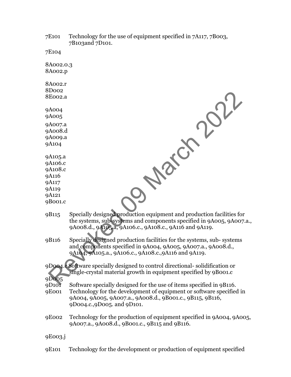7E101 Technology for the use of equipment specified in 7A117, 7B003, 7B103and 7D101.

7E104

8A002.0.3 8A002.p

8A002.r 8D002 8E002.a

9A004 9A005

9A007.a 9A008.d 9A009.a

9A104

9A105.a 9A106.c 9A108.c 9A116 9A117 9A119

9A121

9B001.c

- 9B115 Specially designed production equipment and production facilities for the systems, sub-systems and components specified in 9A005, 9A007.a., 9A008.d., 9A105.a, 9A106.c., 9A108.c., 9A116 and 9A119. **Review 2022**
- 9B116 Specially designed production facilities for the systems, sub- systems and components specified in 9A004, 9A005, 9A007.a., 9A008.d., 9A104, 9A105.a., 9A106.c., 9A108.c.,9A116 and 9A119.
- 9D004.c Software specially designed to control directional- solidification or single-crystal material growth in equipment specified by 9B001.c

9D005

9D101 Software specially designed for the use of items specified in 9B116.

- 9E001 Technology for the development of equipment or software specified in 9A004, 9A005, 9A007.a., 9A008.d., 9B001.c., 9B115, 9B116, 9D004.c.,9D005. and 9D101.
- 9E002 Technology for the production of equipment specified in 9A004, 9A005, 9A007.a., 9A008.d., 9B001.c., 9B115 and 9B116.

9E003.j

9E101 Technology for the development or production of equipment specified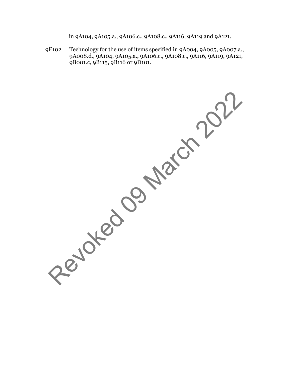in 9A104, 9A105.a., 9A106.c., 9A108.c., 9A116, 9A119 and 9A121.

9E102 Technology for the use of items specified in 9A004, 9A005, 9A007.a., 9A008.d., 9A104, 9A105.a., 9A106.c., 9A108.c., 9A116, 9A119, 9A121, 9B001.c, 9B115, 9B116 or 9D101.

Revoked 09 March 2022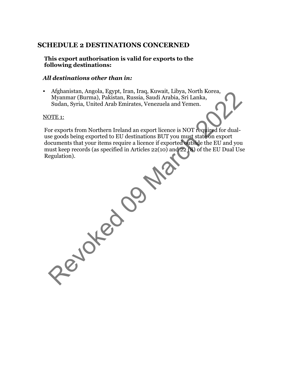# **SCHEDULE 2 DESTINATIONS CONCERNED**

**This export authorisation is valid for exports to the following destinations:**

# *All destinations other than in:*

• Afghanistan, Angola, Egypt, Iran, Iraq, Kuwait, Libya, North Korea, Myanmar (Burma), Pakistan, Russia, Saudi Arabia, Sri Lanka, Sudan, Syria, United Arab Emirates, Venezuela and Yemen.

### NOTE 1:

For exports from Northern Ireland an export licence is NOT required for dualuse goods being exported to EU destinations BUT you must state on export documents that your items require a licence if exported outside the EU and you must keep records (as specified in Articles 22(10) and 22 (8) of the EU Dual Use Regulation). Arganistan, Angona, Egypt, Iran, Iraq, Kwaral, Linga, Waramar (Burma), Pakistan, Russia, Saudi Arabia, Sri Lanka, Sudan, Syria, United Arab Emirates, Venezuela and Yemen.<br>
Sudan, Syria, United Arab Emirates, Venezuela and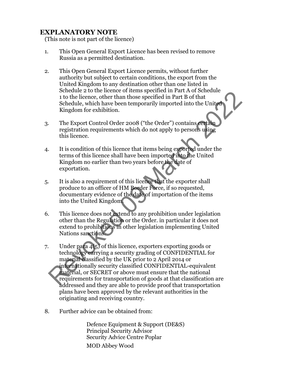# **EXPLANATORY NOTE**

(This note is not part of the licence)

- 1. This Open General Export Licence has been revised to remove Russia as a permitted destination.
- 2. This Open General Export Licence permits, without further authority but subject to certain conditions, the export from the United Kingdom to any destination other than one listed in Schedule 2 to the licence of items specified in Part A of Schedule 1 to the licence, other than those specified in Part B of that Schedule, which have been temporarily imported into the United Kingdom for exhibition.
- 3. The Export Control Order 2008 ("the Order") contains certain registration requirements which do not apply to persons using this licence.
- 4. It is condition of this licence that items being exported under the terms of this licence shall have been imported into the United Kingdom no earlier than two years before the date of exportation.
- 5. It is also a requirement of this licence that the exporter shall produce to an officer of HM Border Force, if so requested, documentary evidence of the date of importation of the items into the United Kingdom.
- 6. This licence does not extend to any prohibition under legislation other than the Regulation or the Order. in particular it does not extend to prohibitions in other legislation implementing United Nations sanctions.
- 7. Under para 4(5) of this licence, exporters exporting goods or technology carrying a security grading of CONFIDENTIAL for material classified by the UK prior to 2 April 2014 or internationally security classified CONFIDENTIAL-equivalent material, or SECRET or above must ensure that the national requirements for transportation of goods at that classification are addressed and they are able to provide proof that transportation plans have been approved by the relevant authorities in the originating and receiving country. Science to the network of the best of the Unit of a Science of the licence, other than those specified in Part B of that<br>Schedule, which have been temporarily imported into the United<br>Kingdom for exhibition.<br>The Export Con
- 8. Further advice can be obtained from:

Defence Equipment & Support (DE&S) Principal Security Advisor Security Advice Centre Poplar MOD Abbey Wood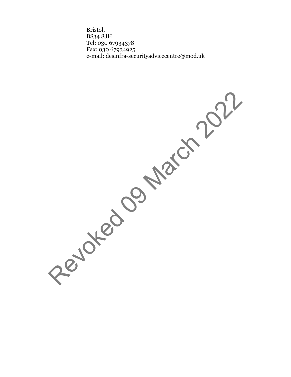Bristol, BS34 8JH Tel: 030 67934378 Fax: 030 67934925 e-mail: [desinfra-securityadvicecentre@mod.uk](mailto:desinfra-securityadvicecentre@mod.uk)

Revoked 09 March 2022